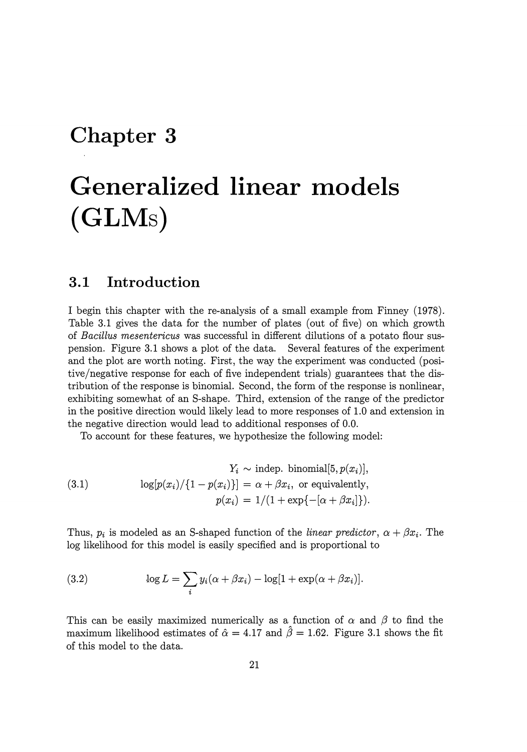## **Chapter 3**

# **Generalized linear models (GLMs)**

#### **3.1 Introduction**

I begin this chapter with the re-analysis of a small example from Finney (1978). Table 3.1 gives the data for the number of plates (out of five) on which growth of *Bacillus mesentericus* was successful in different dilutions of a potato flour suspension. Figure 3.1 shows a plot of the data. Several features of the experiment and the plot are worth noting. First, the way the experiment was conducted (positive/negative response for each of five independent trials) guarantees that the distribution of the response is binomial. Second, the form of the response is nonlinear, exhibiting somewhat of an 8-shape. Third, extension of the range of the predictor in the positive direction would likely lead to more responses of 1.0 and extension in the negative direction would lead to additional responses of 0.0.

To account for these features, we hypothesize the following model:

(3.1) 
$$
Y_i \sim \text{indep. binomial}[5, p(x_i)],
$$

$$
\log[p(x_i)/\{1-p(x_i)\}] = \alpha + \beta x_i, \text{ or equivalently,}
$$

$$
p(x_i) = 1/(1 + \exp\{-[\alpha + \beta x_i]\}).
$$

Thus,  $p_i$  is modeled as an S-shaped function of the *linear predictor*,  $\alpha + \beta x_i$ . The log likelihood for this model is easily specified and is proportional to

(3.2) 
$$
\log L = \sum_{i} y_i(\alpha + \beta x_i) - \log[1 + \exp(\alpha + \beta x_i)].
$$

This can be easily maximized numerically as a function of  $\alpha$  and  $\beta$  to find the maximum likelihood estimates of  $\hat{\alpha} = 4.17$  and  $\hat{\beta} = 1.62$ . Figure 3.1 shows the fit of this model to the data.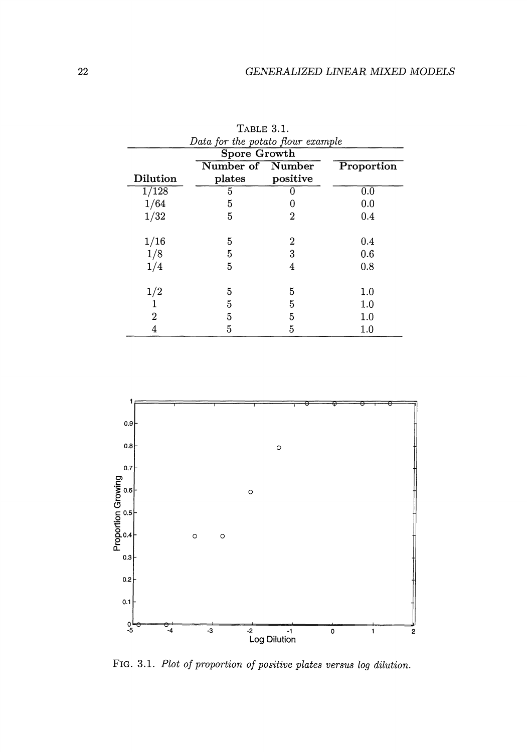| Data for the potato flour example |                  |          |            |
|-----------------------------------|------------------|----------|------------|
| <b>Spore Growth</b>               |                  |          |            |
|                                   | Number of Number |          | Proportion |
| Dilution                          | plates           | positive |            |
| 1/128                             | 5                |          | 0.0        |
| 1/64                              | 5                | 0        | 0.0        |
| 1/32                              | 5                | 2        | 0.4        |
|                                   |                  |          |            |
| 1/16                              | 5                | 2        | 0.4        |
| 1/8                               | 5                | 3        | 0.6        |
| 1/4                               | 5                | 4        | 0.8        |
|                                   |                  |          |            |
| 1/2                               | 5                | 5        | 1.0        |
|                                   | 5                | 5        | $1.0\,$    |
| 2                                 | 5                | 5        | $1.0\,$    |
|                                   | 5                | 5        | $1.0\,$    |

TABLE 3.1.



FIG. 3.1. *Plot of proportion of positive plates versus log dilution.*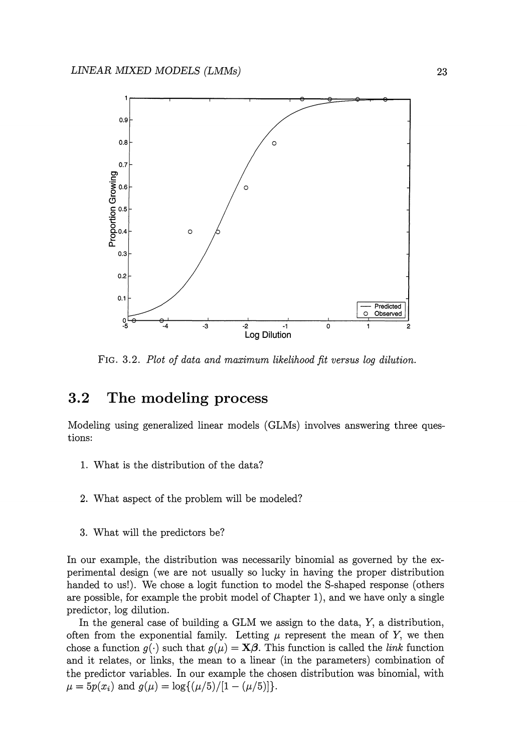

FIG. 3.2. *Plot of data and maximum likelihood fit versus log dilution.* 

#### **3.2 The modeling process**

Modeling using generalized linear models (GLMs) involves answering three questions:

- 1. What is the distribution of the data?
- 2. What aspect of the problem will be modeled?
- 3. What will the predictors be?

In our example, the distribution was necessarily binomial as governed by the experimental design (we are not usually so lucky in having the proper distribution handed to us!). We chose a logit function to model the S-shaped response (others are possible, for example the probit model of Chapter 1), and we have only a single predictor, log dilution.

In the general case of building a GLM we assign to the data, Y, a distribution, often from the exponential family. Letting  $\mu$  represent the mean of Y, we then chose a function  $g(\cdot)$  such that  $g(\mu) = \mathbf{X}\boldsymbol{\beta}$ . This function is called the *link* function and it relates, or links, the mean to a linear (in the parameters) combination of the predictor variables. In our example the chosen distribution was binomial, with  $\mu = 5p(x_i)$  and  $g(\mu) = \log\{(\mu/5)/[1-(\mu/5)]\}.$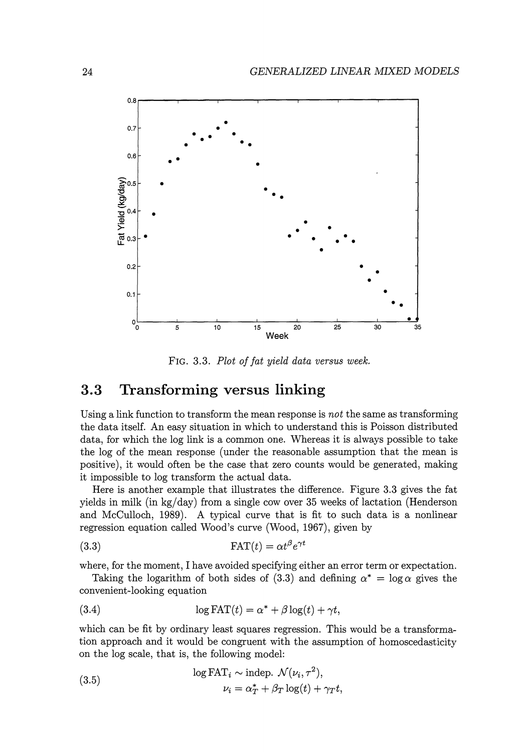

FIG. 3.3. *Plot of fat yield data versus week.* 

#### **3.3 Transforming versus linking**

Using a link function to transform the mean response is *not* the same as transforming the data itself. An easy situation in which to understand this is Poisson distributed data, for which the log link is a common one. Whereas it is always possible to take the log of the mean response (under the reasonable assumption that the mean is positive), it would often be the case that zero counts would be generated, making it impossible to log transform the actual data.

Here is another example that illustrates the difference. Figure 3.3 gives the fat yields in milk (in kg/day) from a single cow over 35 weeks of lactation (Henderson and McCulloch, 1989). A typical curve that is fit to such data is a nonlinear regression equation called Wood's curve (Wood, 1967), given by

(3.3) 
$$
\text{FAT}(t) = \alpha t^{\beta} e^{\gamma t}
$$

where, for the moment, I have avoided specifying either an error term or expectation.

Taking the logarithm of both sides of (3.3) and defining  $\alpha^* = \log \alpha$  gives the convenient-looking equation

(3.4) 
$$
\log \text{FAT}(t) = \alpha^* + \beta \log(t) + \gamma t,
$$

which can be fit by ordinary least squares regression. This would be a transformation approach and it would be congruent with the assumption of homoscedasticity on the log scale, that is, the following model:

(3.5) 
$$
\log \text{FAT}_{i} \sim \text{indep. } \mathcal{N}(\nu_{i}, \tau^{2}),
$$

$$
\nu_{i} = \alpha_{T}^{*} + \beta_{T} \log(t) + \gamma_{T} t,
$$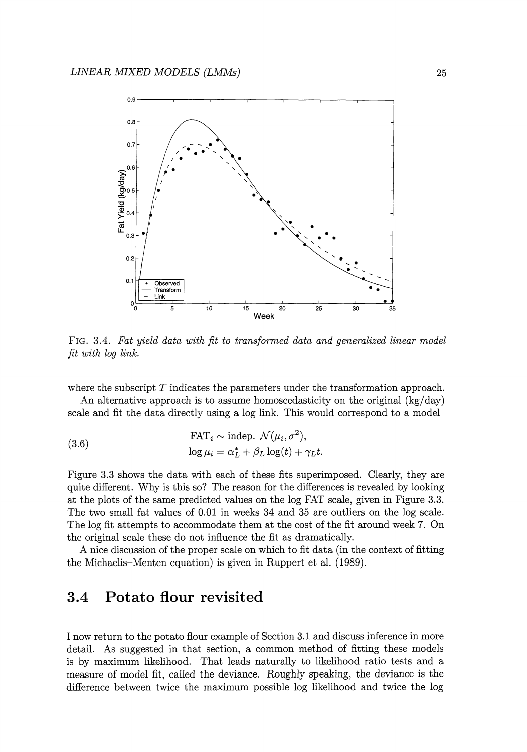

FIG. 3.4. *Fat yield data with fit to transformed data and generalized linear model fit with log link.* 

where the subscript  $T$  indicates the parameters under the transformation approach.

An alternative approach is to assume homoscedasticity on the original  $(kg/day)$ scale and fit the data directly using a log link. This would correspond to a model

(3.6) 
$$
\text{FAT}_{i} \sim \text{indep. } \mathcal{N}(\mu_{i}, \sigma^{2}),
$$

$$
\log \mu_{i} = \alpha_{L}^{*} + \beta_{L} \log(t) + \gamma_{L} t.
$$

Figure 3.3 shows the data with each of these fits superimposed. Clearly, they are quite different. Why is this so? The reason for the differences is revealed by looking at the plots of the same predicted values on the log FAT scale, given in Figure 3.3. The two small fat values of 0.01 in weeks 34 and 35 are outliers on the log scale. The log fit attempts to accommodate them at the cost of the fit around week 7. On the original scale these do not influence the fit as dramatically.

A nice discussion of the proper scale on which to fit data (in the context of fitting the Michaelis-Menten equation) is given in Ruppert et al. (1989).

### 3.4 **Potato flour revisited**

I now return to the potato flour example of Section 3.1 and discuss inference in more detail. As suggested in that section, a common method of fitting these models is by maximum likelihood. That leads naturally to likelihood ratio tests and a measure of model fit, called the deviance. Roughly speaking, the deviance is the difference between twice the maximum possible log likelihood and twice the log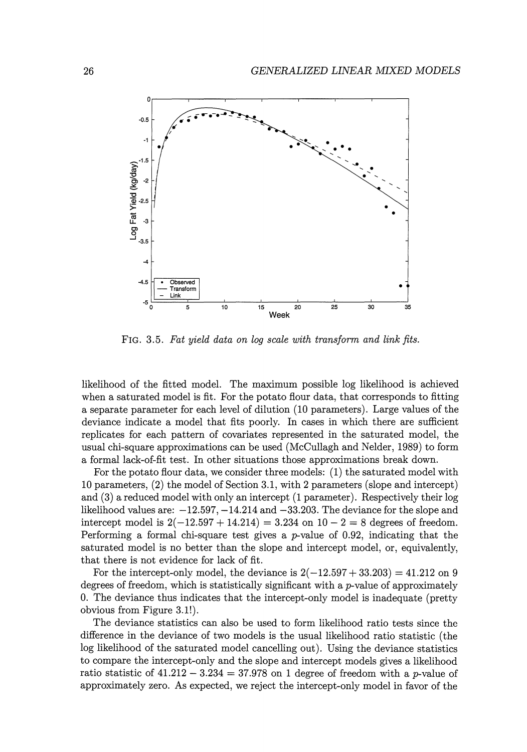

FIG. 3.5. *Fat yield data on log scale with transform and link fits.* 

likelihood of the fitted model. The maximum possible log likelihood is achieved when a saturated model is fit. For the potato flour data, that corresponds to fitting a separate parameter for each level of dilution (10 parameters). Large values of the deviance indicate a model that fits poorly. In cases in which there are sufficient replicates for each pattern of covariates represented in the saturated model, the usual chi-square approximations can be used (McCullagh and Neider, 1989) to form a formal lack-of-fit test. In other situations those approximations break down.

For the potato flour data, we consider three models: (1) the saturated model with 10 parameters, (2) the model of Section 3.1, with 2 parameters (slope and intercept) and (3) a reduced model with only an intercept (1 parameter). Respectively their log likelihood values are:  $-12.597, -14.214$  and  $-33.203$ . The deviance for the slope and intercept model is  $2(-12.597 + 14.214) = 3.234$  on  $10 - 2 = 8$  degrees of freedom. Performing a formal chi-square test gives a  $p$ -value of 0.92, indicating that the saturated model is no better than the slope and intercept model, or, equivalently, that there is not evidence for lack of fit.

For the intercept-only model, the deviance is  $2(-12.597 + 33.203) = 41.212$  on 9 degrees of freedom, which is statistically significant with a  $p$ -value of approximately 0. The deviance thus indicates that the intercept-only model is inadequate (pretty obvious from Figure 3.1!).

The deviance statistics can also be used to form likelihood ratio tests since the difference in the deviance of two models is the usual likelihood ratio statistic (the log likelihood of the saturated model cancelling out). Using the deviance statistics to compare the intercept-only and the slope and intercept models gives a likelihood ratio statistic of  $41.212 - 3.234 = 37.978$  on 1 degree of freedom with a p-value of approximately zero. As expected, we reject the intercept-only model in favor of the